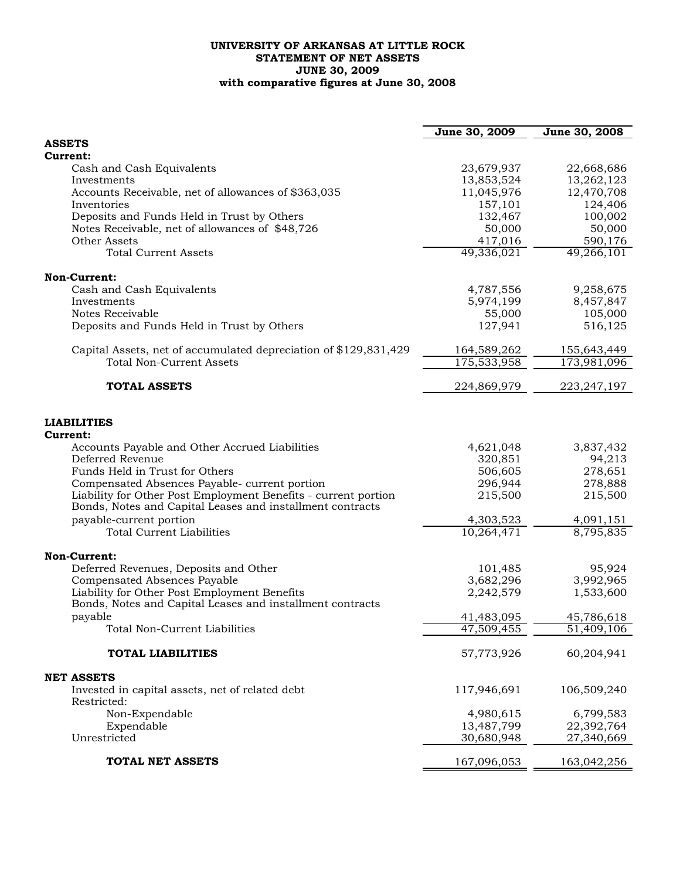## **UNIVERSITY OF ARKANSAS AT LITTLE ROCK STATEMENT OF NET ASSETS JUNE 30, 2009 with comparative figures at June 30, 2008**

|                                                                  | June 30, 2009         | June 30, 2008         |
|------------------------------------------------------------------|-----------------------|-----------------------|
| <b>ASSETS</b>                                                    |                       |                       |
| Current:                                                         |                       |                       |
| Cash and Cash Equivalents                                        | 23,679,937            | 22,668,686            |
| Investments                                                      | 13,853,524            | 13,262,123            |
| Accounts Receivable, net of allowances of \$363,035              | 11,045,976            | 12,470,708            |
| Inventories                                                      | 157,101               | 124,406               |
| Deposits and Funds Held in Trust by Others                       | 132,467               | 100,002               |
| Notes Receivable, net of allowances of \$48,726                  | 50,000                | 50,000                |
| Other Assets<br><b>Total Current Assets</b>                      | 417,016<br>49,336,021 | 590,176<br>49,266,101 |
|                                                                  |                       |                       |
| Non-Current:                                                     |                       |                       |
| Cash and Cash Equivalents                                        | 4,787,556             | 9,258,675             |
| Investments                                                      | 5,974,199             | 8,457,847             |
| Notes Receivable                                                 | 55,000                | 105,000               |
| Deposits and Funds Held in Trust by Others                       | 127,941               | 516,125               |
| Capital Assets, net of accumulated depreciation of \$129,831,429 | 164,589,262           | 155,643,449           |
| <b>Total Non-Current Assets</b>                                  | 175,533,958           | 173,981,096           |
|                                                                  |                       |                       |
| <b>TOTAL ASSETS</b>                                              | 224,869,979           | 223, 247, 197         |
| <b>LIABILITIES</b>                                               |                       |                       |
| Current:                                                         |                       |                       |
| Accounts Payable and Other Accrued Liabilities                   | 4,621,048             | 3,837,432             |
| Deferred Revenue                                                 | 320,851               | 94,213                |
| Funds Held in Trust for Others                                   | 506,605               | 278,651               |
| Compensated Absences Payable- current portion                    | 296,944               | 278,888               |
| Liability for Other Post Employment Benefits - current portion   | 215,500               | 215,500               |
| Bonds, Notes and Capital Leases and installment contracts        |                       |                       |
| payable-current portion                                          | 4,303,523             | 4,091,151             |
| <b>Total Current Liabilities</b>                                 | 10,264,471            | 8,795,835             |
| <b>Non-Current:</b>                                              |                       |                       |
| Deferred Revenues, Deposits and Other                            | 101,485               | 95,924                |
| Compensated Absences Payable                                     | 3,682,296             | 3,992,965             |
| Liability for Other Post Employment Benefits                     | 2,242,579             | 1,533,600             |
| Bonds, Notes and Capital Leases and installment contracts        |                       |                       |
| payable                                                          | 41,483,095            | 45,786,618            |
| Total Non-Current Liabilities                                    | 47,509,455            | 51,409,106            |
| <b>TOTAL LIABILITIES</b>                                         | 57,773,926            | 60,204,941            |
| <b>NET ASSETS</b>                                                |                       |                       |
| Invested in capital assets, net of related debt                  | 117,946,691           | 106,509,240           |
| Restricted:                                                      |                       |                       |
| Non-Expendable                                                   | 4,980,615             | 6,799,583             |
| Expendable                                                       | 13,487,799            | 22,392,764            |
| Unrestricted                                                     | 30,680,948            | 27,340,669            |
| TOTAL NET ASSETS                                                 | 167,096,053           | 163,042,256           |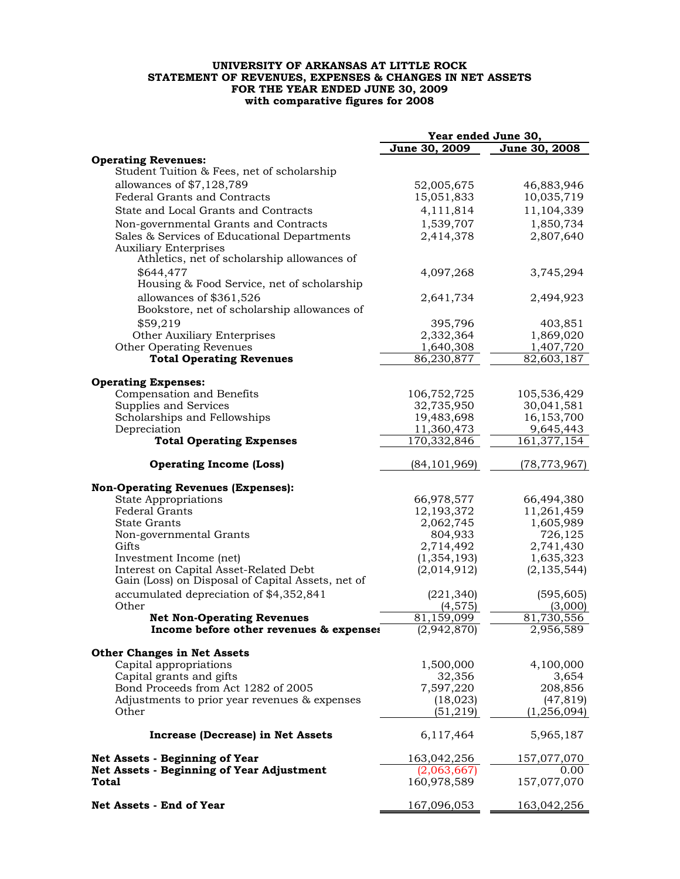## **UNIVERSITY OF ARKANSAS AT LITTLE ROCK STATEMENT OF REVENUES, EXPENSES & CHANGES IN NET ASSETS FOR THE YEAR ENDED JUNE 30, 2009 with comparative figures for 2008**

|                                                                                                                      | Year ended June 30,    |                       |  |
|----------------------------------------------------------------------------------------------------------------------|------------------------|-----------------------|--|
|                                                                                                                      | June 30, 2009          | June 30, 2008         |  |
| <b>Operating Revenues:</b><br>Student Tuition & Fees, net of scholarship                                             |                        |                       |  |
| allowances of \$7,128,789                                                                                            | 52,005,675             | 46,883,946            |  |
| <b>Federal Grants and Contracts</b>                                                                                  | 15,051,833             | 10,035,719            |  |
| State and Local Grants and Contracts                                                                                 | 4,111,814              | 11,104,339            |  |
|                                                                                                                      |                        | 1,850,734             |  |
| Non-governmental Grants and Contracts<br>Sales & Services of Educational Departments<br><b>Auxiliary Enterprises</b> | 1,539,707<br>2,414,378 | 2,807,640             |  |
| Athletics, net of scholarship allowances of<br>\$644,477                                                             | 4,097,268              | 3,745,294             |  |
| Housing & Food Service, net of scholarship                                                                           |                        |                       |  |
| allowances of \$361,526<br>Bookstore, net of scholarship allowances of                                               | 2,641,734              | 2,494,923             |  |
| \$59,219                                                                                                             | 395,796                | 403,851               |  |
| Other Auxiliary Enterprises                                                                                          | 2,332,364              | 1,869,020             |  |
| Other Operating Revenues                                                                                             | 1,640,308              | 1,407,720             |  |
| <b>Total Operating Revenues</b>                                                                                      | 86,230,877             | 82,603,187            |  |
|                                                                                                                      |                        |                       |  |
| <b>Operating Expenses:</b><br>Compensation and Benefits                                                              | 106,752,725            | 105,536,429           |  |
| Supplies and Services                                                                                                | 32,735,950             | 30,041,581            |  |
| Scholarships and Fellowships                                                                                         | 19,483,698             | 16,153,700            |  |
| Depreciation                                                                                                         | 11,360,473             | 9,645,443             |  |
| <b>Total Operating Expenses</b>                                                                                      | 170,332,846            | 161, 377, 154         |  |
|                                                                                                                      |                        |                       |  |
| <b>Operating Income (Loss)</b>                                                                                       | (84, 101, 969)         | (78,773,967)          |  |
| <b>Non-Operating Revenues (Expenses):</b>                                                                            |                        |                       |  |
| <b>State Appropriations</b>                                                                                          | 66,978,577             | 66,494,380            |  |
| <b>Federal Grants</b>                                                                                                | 12,193,372             | 11,261,459            |  |
| <b>State Grants</b>                                                                                                  | 2,062,745              | 1,605,989             |  |
| Non-governmental Grants                                                                                              | 804,933                | 726,125               |  |
| Gifts                                                                                                                | 2,714,492              | 2,741,430             |  |
| Investment Income (net)                                                                                              | (1, 354, 193)          | 1,635,323             |  |
| Interest on Capital Asset-Related Debt<br>Gain (Loss) on Disposal of Capital Assets, net of                          | (2,014,912)            | (2, 135, 544)         |  |
| accumulated depreciation of \$4,352,841<br>Other                                                                     | (221, 340)<br>(4,575)  | (595, 605)<br>(3,000) |  |
| <b>Net Non-Operating Revenues</b>                                                                                    | 81,159,099             | 81,730,556            |  |
| Income before other revenues & expenses                                                                              | (2,942,870)            | 2,956,589             |  |
|                                                                                                                      |                        |                       |  |
| <b>Other Changes in Net Assets</b>                                                                                   |                        |                       |  |
| Capital appropriations                                                                                               | 1,500,000              | 4,100,000             |  |
| Capital grants and gifts                                                                                             | 32,356                 | 3,654                 |  |
| Bond Proceeds from Act 1282 of 2005                                                                                  | 7,597,220              | 208,856               |  |
| Adjustments to prior year revenues & expenses                                                                        | (18,023)               | (47, 819)             |  |
| Other                                                                                                                | (51, 219)              | (1, 256, 094)         |  |
| Increase (Decrease) in Net Assets                                                                                    | 6,117,464              | 5,965,187             |  |
| Net Assets - Beginning of Year                                                                                       | 163,042,256            | 157,077,070           |  |
| <b>Net Assets - Beginning of Year Adjustment</b>                                                                     | (2,063,667)            |                       |  |
| Total                                                                                                                | 160,978,589            | 157,077,070           |  |
| Net Assets - End of Year                                                                                             | 167,096,053            | 163,042,256           |  |